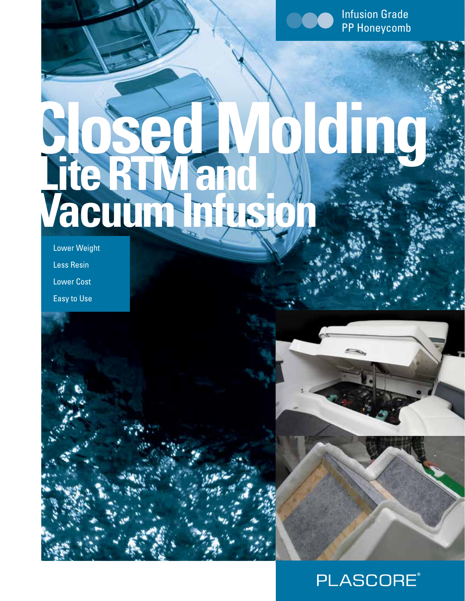

Infusion Grade PP Honeycomb

# **Closed Molding Lite RTM and Vacuum Infusion**

Lower Weight Less Resin Lower Cost Easy to Use



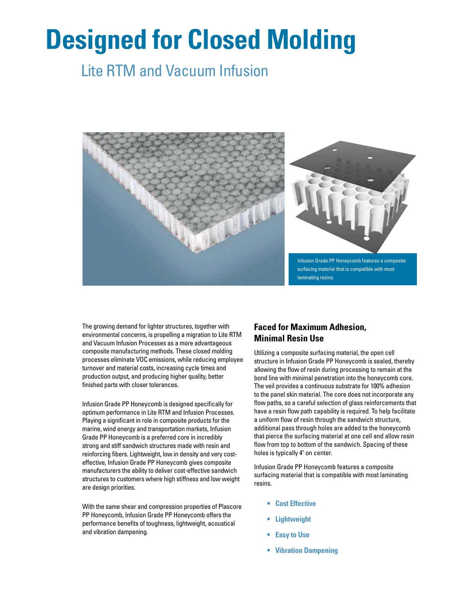# **Designed for Closed Molding**

### Lite RTM and Vacuum Infusion



The growing demand for lighter structures, together with environmental concerns, is propelling a migration to Lite RTM and Vacuum Infusion Processes as a more advantageous composite manufacturing methods. These closed molding processes eliminate VOC emissions, while reducing employee turnover and material costs, increasing cycle times and production output, and producing higher quality, better finished parts with closer tolerances.

Infusion Grade PP Honeycomb is designed specifically for optimum performance in Lite RTM and Infusion Processes. Playing a significant in role in composite products for the marine, wind energy and transportation markets, Infusion Grade PP Honeycomb is a preferred core in incredibly strong and stiff sandwich structures made with resin and reinforcing fibers. Lightweight, low in density and very costeffective, Infusion Grade PP Honeycomb gives composite manufacturers the ability to deliver cost-effective sandwich structures to customers where high stiffness and low weight are design priorities.

With the same shear and compression properties of Plascore PP Honeycomb, Infusion Grade PP Honeycomb offers the performance benefits of toughness, lightweight, acoustical and vibration dampening.

#### **Faced for Maximum Adhesion, Minimal Resin Use**

Utilizing a composite surfacing material, the open cell structure in Infusion Grade PP Honeycomb is sealed, thereby allowing the flow of resin during processing to remain at the bond line with minimal penetration into the honeycomb core. The veil provides a continuous substrate for 100% adhesion to the panel skin material. The core does not incorporate any flow paths, so a careful selection of glass reinforcements that have a resin flow path capability is required. To help facilitate a uniform flow of resin through the sandwich structure, additional pass through holes are added to the honeycomb that pierce the surfacing material at one cell and allow resin flow from top to bottom of the sandwich. Spacing of these holes is typically 4" on center.

Infusion Grade PP Honeycomb features a composite surfacing material that is compatible with most laminating resins.

- **• Cost Effective**
- **• Lightweight**
- **• Easy to Use**
- **• Vibration Dampening**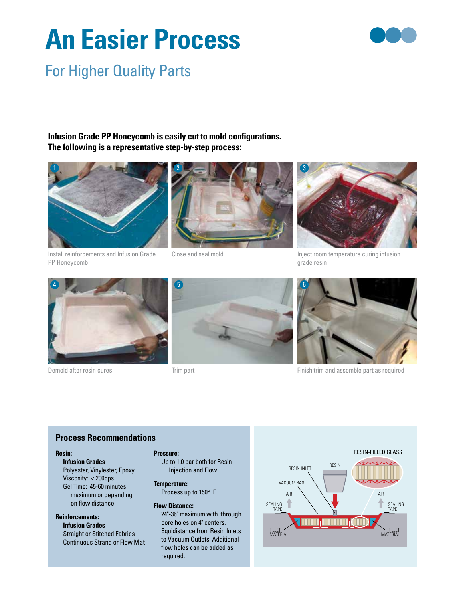# **An Easier Process**



### For Higher Quality Parts

**Infusion Grade PP Honeycomb is easily cut to mold configurations. The following is a representative step-by-step process:**



Install reinforcements and Infusion Grade PP Honeycomb



Close and seal mold



Inject room temperature curing infusion grade resin



Demold after resin cures



Trim part



Finish trim and assemble part as required

#### **Process Recommendations**

#### **Resin:**

**Infusion Grades** Polyester, Vinylester, Epoxy Viscosity: < 200cps Gel Time: 45-60 minutes maximum or depending on flow distance

#### **Reinforcements:**

**Infusion Grades** Straight or Stitched Fabrics Continuous Strand or Flow Mat

#### **Pressure:**

Up to 1.0 bar both for Resin Injection and Flow

**Temperature:** Process up to 150° F

#### **Flow Distance:**

24"-36" maximum with through core holes on 4" centers. Equidistance from Resin Inlets to Vacuum Outlets. Additional flow holes can be added as required.